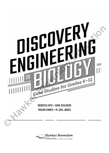

**Hawker Brownlow** Education a Solution Tree company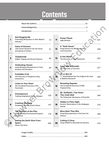# Contents

| 1                       | <b>Quit Bugging Me</b><br><b>Controlling Mosquitoes to Stem Malaria</b><br><b>Infection</b>              | 13  | $\mathbf{1}$ | <b>Power Plants</b><br><b>Algal Biofuels</b>                                              | 221 |
|-------------------------|----------------------------------------------------------------------------------------------------------|-----|--------------|-------------------------------------------------------------------------------------------|-----|
| $\mathbf{2}$            | <b>Game of Knowns</b><br>John Snow's Research Into the Cause<br>and Spread of Cholera                    | 31  | 12           | A "Sixth Sense"<br>Using Sensors for Monitoring and<br>Communication                      | 239 |
| $\overline{\mathbf{3}}$ | <b>Thalidomide</b><br><b>Hidden Tragedy and Second Chances</b>                                           | 49  | 13           | In Hot Water<br>The Discovery of Tag Polymerase                                           | 257 |
| 4                       | <b>Vindicating Venom</b><br><b>Using Biological Mechanisms to Treat</b><br><b>Diseases and Disorders</b> | 69  | 14           | <b>Cows and Milkmaids</b><br>The Discovery of Vaccines                                    | 277 |
| 5                       | <b>Forbidden Fruit</b><br>The Discovery of Dangerous Drug<br><b>Interactions</b>                         | 89  | 15.          | 2X or Not 2X<br>"Y" Should Mixed-Sex Test Subjects Be Used<br>in Medical Research?        | 299 |
| 6                       | <b>Listen to Your Heart</b><br>The Accidental Discovery of the<br>Pacemaker                              | 117 | 16           | <b>Revealing Repeats</b><br>The Accidental Discovery of DNA<br><b>Fingerprinting</b>      | 325 |
| $\overline{\mathbf{z}}$ | <b>Overexposure</b><br><b>Treating Anaphylaxis Due to Allergies</b>                                      | 135 | 17           | Mr. Antibiotic, Tear Down<br>This (Cell) Wall<br>The Prokaryotic Resistance of Penicillin | 349 |
| 8                       | <b>Crashing the Party</b><br><b>Combating Chronic Alcohol Abuse</b>                                      | 157 | 18           | <b>Hidden in Plain Sight</b><br>Darwin's Observations in the Galápagos<br><b>Islands</b>  | 373 |
| 9                       | <b>The Triumph of the Pika</b><br><b>Understanding Environmental Impacts</b><br>on Species               | 179 | 19           | <b>More Bark Than Bite</b><br>Using Bioprospecting to Find Cures for<br><b>Disease</b>    | 395 |
| 10                      | <b>Seeing the Earth Glow From</b><br><b>Space</b><br><b>Plants That Glow</b>                             | 205 | 20           | <b>Cutting It Close</b><br>Using CRISPR to Microedit the Genome                           | 415 |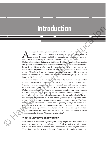# **Introduction**

A number of amazing innovations have resulted from someone making<br>a careful observation, a mistake, or even just trying an experiment to<br>see what will happen. In 1854, for example, Dr. John Show wanted to<br>know what was cau a careful observation, a mistake, or even just trying an experiment to see what will happen. In 1854, for example, Dr. John Snow wanted to know what was causing an outbreak of cholera in his home city of London. Dr. Snow had noticed that areas with filtered drinking water had fewer deaths and guessed that contaminated water had something to do with the cholera outbreak. To test his theory, he created a map showing the reported cases of the illness in the neighborhood of Soho, as well as the locations of Soho's water pumps. This allowed him to pinpoint a contaminated pump. He went on to share his findings and become "the father of epidemiology" (MPH Online Learning Modules 2015).

Dr. Snow addressed a societal need of the 1850s, namely the necessity for a means to stop cholera outbreaks. Since his work more than 150 years ago, the field of epidemiology has grown exponentially and still uses the principles of careful observation and ideation to tackle modern concerns. The case of Dr. Snow demonstrates that careful observations and discovery-based research can be sourced from or inspired by the natural world and one's own imagination, leading to new ideas and applications sourced from biology itself. The key to harnessing this potential is a careful and imaginative eye, along with a mindful process of engineering to address and solve everyday problems. This book focuses on the intersection of science and engineering through an examination of real-world discoveries that, as in the case of Dr. Snow, led to innovations and solutions to contemporary real-world problems. We call the process of developing an innovation based on an observation of phenomena or a deeper exploration of accidental findings "discovery engineering." **EXECUTE:**<br> **EXECUTE:**<br> **A** range of a mazing innovations have usedled from some<br>properties are considered as a careful observation, a misk-lay, or even just trying<br>the respectively to know what was causing an outbreak of

#### What Is Discovery Engineering?

©

Each chapter in *Discovery Engineering in Biology* begins with the examination of an observation, discovery, or phenomenon. Students review historical observations or discoveries to connect these revelations to their original context. Then, they place themselves in the role of discoverer by thinking about how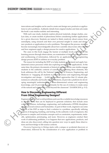innovations and insights can be used to create and design new products or applications to solve problems. Authentic details from original studies and data sets make the book's case studies realistic and interesting.

With each case study, students explore physical materials, design studies, analyze data, or create models of phenomena before considering further applications for a given discovery. Students are tasked to think creatively about science from serendipity, using research and their own personal insight to create and design new products or applications to solve problems. Throughout the process, students become increasingly knowledgeable about how scientific discoveries often unfold and how engineers apply a design process for creative applications.

The cases in this book engage the learner at multiple levels and scaffold the learning process through observations, an examination of data, and the evaluation and synthesizing of information, followed by an application of the engineering design process (EDP) to address an everyday problem.

The reason for including the EDP is to help students understand and apply fundamental science processes while also exploring new ideas for applications. At the same time, the primary documents or historical accounts in the case studies engage students in the authentic contexts of science. By combining these elements, this book addresses the call by the National Academies of Sciences, Engineering, and Medicine in "engaging all students in learning science and engineering through investigation and design … [with] instructional approaches that (1) situate phenomena in culturally and locally relevant contexts, (2) provide a platform for developing meaningful understanding of three-dimensional science and engineering knowledge, and (3) provide an opportunity for the use of evidence to make sense of the natural and engineered world beyond the classroom" (NASEM 2018, p. S-2). marxia an anomy and the set of the set of the set of the set of the set of the set of the set of the set of the set of the set of the set of the set of the set of the set of the set of the set of the set of phenomena bett

### How Is Discovery Engineering Different From Other Engineering Designs?

Engineers identify real-world problems and scan the available knowledge resources to identify those that can be deployed to generate solutions; that include areas within the science, technology, engineering, and mathematics (STEM) disciplines as well as social sciences and humanities. As part of their work, engineers use some version of the EDP as steps to find a solution to a problem, specifically utilizing aspects of designing, building, and testing. In the authentic work of engineers, this process is complex and includes concepts such as constraints, requirements, tradeoffs, optimization, prototyping, and more. However, as engineers conduct their work of addressing problems, it so happens that new applications, products, and ideas are also discovered, calling into question new ways to apply these observations and knowledge to life-science contexts.

*Discovery Engineering in Biology* starts with a unique or accidental discovery or observation, followed by the consideration of a new application or problem to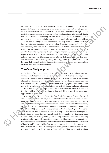be solved. As documented by the case studies within this book, this is a realistic process that leverages engineering in the often-unrelated context of biological science. The case studies show that not all discoveries or inventions are a product of controlled experiments or engineering prototypes. Some innovations simply begin with an observation, followed by creative thinking and consideration of how that process or phenomenon might be used for a new application or to solve a problem.

To scaffold the EDP, we have established a six-step formula: asking questions; brainstorming and imagining; creating a plan; designing; testing and evaluating; and improving and revising. It is important to note that this book is not intended to replicate the work of engineers. Instead, its purpose is to provide students with an introduction to engineering design principles anchored to concepts within biological science. This book shows students that their everyday observations of the natural world can provide unique insight into the challenges facing modern society. Furthermore, *Discovery Engineering in Biology* seeks to empower students to leverage their natural curiosity in order to innovate and design new applications or create new products for tomorrow.

#### The Case Study Approach

©

At the heart of each case study is a true story, one that describes how someone made a casual observation or did a simple experiment that led to new insight or a discovery. Case studies are designed to get students actively engaged in the process of problem solving and applying ideas to design new products and processes. The narrative of the case supplies authentic details that help place the student in the role of the inventor and provides scaffolds for critical thinking and deep reflection. A case is more than a paragraph to read or a story to analyze; rather, it is a way of framing problems, synthesizing information, and thinking creatively about new applications and solutions.

According to the National Center for Case Study Teaching in Science, the use of cases as an instructional strategy has had a long history of success in schools of business, law, and medicine. For example, cases are effectively integrated into health care–related education programs to increase student understanding of the profession, especially for situation-dependent knowledge needed in clinical settings (Dowd and Davidhizar 1999). Cases are also an appropriate instructional strategy for the secondary science classroom as they can be used to develop students' critical thinking skills, teach science process skills, help students think about the nature of science, and more (Gallucci 2006). Research specifically credits using real-world scenarios in fostering relatable and purpose-driven contexts that can yield improvement in student attitudes and academic achievement, specifically in the areas of mathematics and science (Akınoğlu and Tandoğan 2007). Cases are an instructional method that can engender the development of science reasoning skills during nonlaboratory classroom time. Cases guide students to think expertly about problems. They also provide teachers He solved. As concerned to the same supplies that the solven is not as a result of the same such states the concerned by the same such as the same such states the concerned of the solvent of the solvent of the solvent of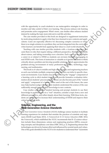with the opportunity to coach students to use metacognitive strategies in order to monitor and take control of their own learning. This process reduces rote learning and promotes active engagement. What's more, case studies often enhance student interest by making the topic more relevant to real-life activities.

The case studies provided in this book are designed to supplement instruction by motivating students to apply what they have learned to new contexts and applications. Cases are especially effective for discussing complex scenarios in which there is no single solution to a problem; they are best integrated into the curriculum when learners can benefit from applying their ideas to a real-world situation.

Teaching with case studies provides students with a vicarious experience and casts them in roles that require taking a different perspective, thinking differently about science, and taking ownership over a decision. Each case activity highlights a career in or related to STEM so students can envision themselves engaging in real STEM work. This form of instruction is valuable as it teaches students to think critically about a problem and develop possible solutions, which approximates the problem-solving environment of many professions in science, technology, engineering, and mathematics. mature reproduces the control of their control and solution the seale and provide station process reduces to be kingdom to the method of the method in this heave one station interaction. The case studies provided in this

This book is of value to middle and high school science and engineering teachers as each case includes multiple components that teachers can tailor to specific classroom environments. Case studies may be used during the "engage" component of a learning cycle to elicit student interest and provide formative evaluation information about students' preconceptions. A case can also become part of the "extend and apply" component of a lesson. When used at the end of the lesson, the cases may help teachers judge whether their students understand the science of the case sufficiently enough to apply their knowledge to new contexts.

Case studies contextualize student learning and prompt students to use their knowledge to problem-solve in a "real" situation, consider a topic from a new and different perspective, and reflect deeply about their learning. With these texts, students are encouraged to increase their understanding of STEM and improve their critical reasoning skills.

#### Science, Engineering, and the *Next Generation Science Standards*

The *Next Generation Science Standards* (*NGSS*) challenge science teachers to facilitate learning experiences for students that emulate the practices of scientists and engineers (NGSS Lead States 2013). *A Framework for K–12 Science Education* (NRC 2012; the *Framework*), which established the *NGSS,* recommends that K–12 science education include these dimensions: science and engineering practices (SEPs); crosscutting concepts; and disciplinary core ideas (NRC 2012, p. 2). Engineering stresses that technologies are driven by human effort and influenced by societal needs and values. One of the goals identified in the *NGSS* is for students to understand that "(s)cientists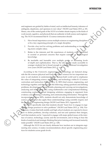and engineers are guided by habits of mind, such as intellectual honesty, tolerance of ambiguity, skepticism, and openness to new ideas" (NGSS Lead States 2013, p. 69). Hence, one of the central goals of the *NGSS* is to better situate inquiry in the kinds of work (social, cognitive, and physical) that are authentic to both science and engineering. The *NGSS* recommend that K–12 science instruction should:

- 1. Have broad importance across multiple sciences or engineering disciplines or be a key organizing principle of a single discipline.
- 2. Provide a key tool for solving problems and understanding or investigating more complex ideas.
- 3. Relate to the interests and life experiences of students or be connected to societal or personal concerns that require scientific or technological knowledge.
- 4. Be teachable and learnable over multiple grades at increasing levels of depth and sophistication. That is, the idea can be made accessible to younger students but is broad enough to sustain continued investigation over years (NGSS Lead States 2013, p. xvi).

According to the *Framework*, engineering and technology are featured alongside the life sciences (physical and Earth and space science) for two important reasons: to aid students in understanding the human-built world and to emphasize the value of integrating science, engineering, and technology within K–12 science curriculum and instruction (NRC 2012, p. 8). SEPs bind science, engineering, and technology together, and they include the following: asking questions and defining problems; developing and using models; planning and carrying out investigations; analyzing and interpreting data; using mathematics and computational thinking; constructing explanations and designing solutions; engaging in argument from evidence; and obtaining, evaluating, and communicating information. Through the incorporation of these SEPs, students should not only demonstrate knowledge of science concepts but also apply these understandings using scientific inquiry and the practices of engineering design (NGSS Lead States 2013, Appendix F). an eigenstare growth and start and the start and the start and the start and the start and the start and the start and the start and the start and the start and the start and the start and the start and the start and the

The *NGSS* specifically state that students should "learn how to engage in engineering design practices to solve problems" (NGSS Lead States 2013, p. 104). Furthermore, it states that both middle and high school students are expected to know how to define problems, develop solutions, and test and optimize their designs, such that students can be "expected to engage with major global issues at the interface of science, technology, society and the environment, and to bring to bear the kinds of analytical and strategic thinking that prior training and increased maturity make possible" (NGSS Lead States 2013, p. 128).

Although the *NGSS* do not clearly delineate how teachers are to integrate engineering into science, it makes recommendations about specific engineering prac tices for students across grade levels.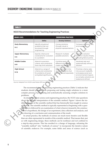#### **TABLE 1**

#### *NGSS* Recommendations for Teaching Engineering Practices

| <b>Define</b><br>Optimize<br><b>Develop Solutions</b><br>Compare solutions, test,<br>Identify situations/<br>Convey solutions<br>problems that can<br>through visual or<br>and evaluate<br>be solved through<br>physical representations<br>engineering<br>Improve a solution<br>Specify criteria and<br>Research multiple<br>based on results of tests,<br>constraints for a solution<br>possible solutions<br>to a problem<br>including failure points<br>Combine parts of<br>Attend to precision,<br>Iteratively test and<br>different solutions to<br>criteria, and constraints<br>systematically refine a<br>create new solutions<br>that may limit solutions<br>solution<br>Break a problem into<br>Attend to a range of<br>Prioritize criteria, take<br>criteria and constraints<br>smaller problems that<br>into account tradeoffs,<br>for problems of social<br>can be solved separately<br>and assess social and<br>and global significance<br>environmental impacts<br>as complex solutions are<br>tested and refined<br>Source: Adapted from NGSS Lead States 2013, pp. 105-106.<br>The recommendations for teaching engineering practices (Table 1) indicate that<br>students should progress from proposing and testing single solutions to a more<br>complex process of prioritizing and systematically assessing complex solutions to<br>problems.<br>As students explore science and engineering practices, the NGSS raise questions<br>about the classical interpretation of the scientific method. Figure 1 shows the tra-<br>ditional model of the scientific method that has historically been taught in science<br>education. The scientific method is typically represented as beginning with a ques- | <b>GRADE LEVEL</b>                 | <b>ENGINEERING PRACTICES</b> |  |  |  |  |  |
|------------------------------------------------------------------------------------------------------------------------------------------------------------------------------------------------------------------------------------------------------------------------------------------------------------------------------------------------------------------------------------------------------------------------------------------------------------------------------------------------------------------------------------------------------------------------------------------------------------------------------------------------------------------------------------------------------------------------------------------------------------------------------------------------------------------------------------------------------------------------------------------------------------------------------------------------------------------------------------------------------------------------------------------------------------------------------------------------------------------------------------------------------------------------------------------------------------------------------------------------------------------------------------------------------------------------------------------------------------------------------------------------------------------------------------------------------------------------------------------------------------------------------------------------------------------------------------------------------------------------------------------------------------------------------------------------------------------------------|------------------------------------|------------------------------|--|--|--|--|--|
|                                                                                                                                                                                                                                                                                                                                                                                                                                                                                                                                                                                                                                                                                                                                                                                                                                                                                                                                                                                                                                                                                                                                                                                                                                                                                                                                                                                                                                                                                                                                                                                                                                                                                                                              |                                    |                              |  |  |  |  |  |
|                                                                                                                                                                                                                                                                                                                                                                                                                                                                                                                                                                                                                                                                                                                                                                                                                                                                                                                                                                                                                                                                                                                                                                                                                                                                                                                                                                                                                                                                                                                                                                                                                                                                                                                              | <b>Early Elementary</b><br>$K-2$   |                              |  |  |  |  |  |
|                                                                                                                                                                                                                                                                                                                                                                                                                                                                                                                                                                                                                                                                                                                                                                                                                                                                                                                                                                                                                                                                                                                                                                                                                                                                                                                                                                                                                                                                                                                                                                                                                                                                                                                              | <b>Upper Elementary</b><br>$3 - 5$ |                              |  |  |  |  |  |
|                                                                                                                                                                                                                                                                                                                                                                                                                                                                                                                                                                                                                                                                                                                                                                                                                                                                                                                                                                                                                                                                                                                                                                                                                                                                                                                                                                                                                                                                                                                                                                                                                                                                                                                              | <b>Middle Grades</b><br>$6 - 8$    |                              |  |  |  |  |  |
|                                                                                                                                                                                                                                                                                                                                                                                                                                                                                                                                                                                                                                                                                                                                                                                                                                                                                                                                                                                                                                                                                                                                                                                                                                                                                                                                                                                                                                                                                                                                                                                                                                                                                                                              | <b>High School</b><br>$9 - 12$     |                              |  |  |  |  |  |
|                                                                                                                                                                                                                                                                                                                                                                                                                                                                                                                                                                                                                                                                                                                                                                                                                                                                                                                                                                                                                                                                                                                                                                                                                                                                                                                                                                                                                                                                                                                                                                                                                                                                                                                              |                                    |                              |  |  |  |  |  |
| tion. This is followed by an examination of what is known (research), the construc-                                                                                                                                                                                                                                                                                                                                                                                                                                                                                                                                                                                                                                                                                                                                                                                                                                                                                                                                                                                                                                                                                                                                                                                                                                                                                                                                                                                                                                                                                                                                                                                                                                          |                                    |                              |  |  |  |  |  |

In actual practice, the methods of science are much more iterative and flexible than are often represented in models of the scientific method. That means that, just as with engineering design, these methods can be nonlinear and not confined to a step-by-step process. This has resulted in a change of language, reframing the "scientific method" into "methods of science" to incorporate the iterative nature of scientific endeavor. For example, some fields and areas of science (such as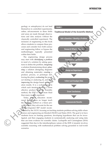geology or astrophysics) do not lend themselves to controlled experiments; rather, advancements in these fields and areas are made through observations and data analysis without the classically controlled experiment. The inclusion of engineering in this book allows students to compare these processes and consider how both science and engineering follow or bypass the methodologies typically presented within their fields.

The engineering design process may start with *identifying a problem*  in need of a solution by asking questions to define the problem*, imagining* a solution (brainstorming ideas), *planning* a solution (designing diagrams and obtaining materials), *creating* a product, process, or prototype (following the plan), *evaluating* the product (testing or analyzing it), and then *improving* the design based on evaluation results. It is a cyclic process in which each iteration leads to a more effective product. Like the scientific method, the EDP is often more fluid than many models represent.

Today, science educators recommend that teachers no longer teach the scientific method as a linear process. Instead, they advocate for the use of the integrated SEP model recom-

©



mended by the *NGSS,* focusing on teaching students problem-solving skills where science and engineering are blended (NGSS Lead States 2013). The goal is to have students focus on framing questions, developing hypotheses that can be investigated, and then engaging students in systematically analyzing and using data that can form evidence for scientific claims. Lachapelle and Cunningham (2014) suggested that due to the interdisciplinary nature of the EDP, it innately involves scientific reasoning with mathematical problem solving grounded in real-world scenarios.